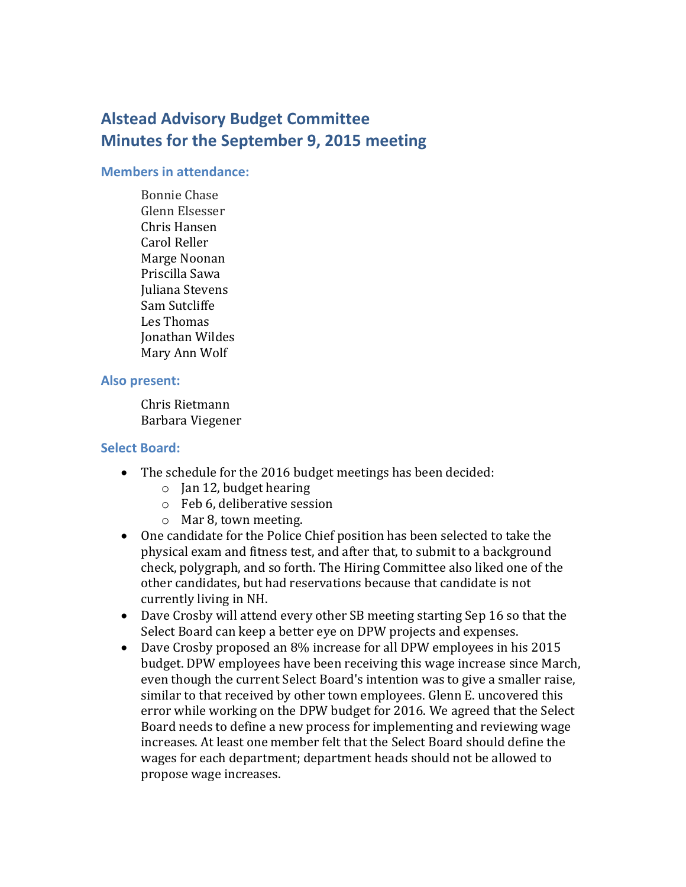# **Alstead Advisory Budget Committee Minutes for the September 9, 2015 meeting**

#### **Members in attendance:**

Bonnie Chase Glenn Elsesser Chris Hansen Carol Reller Marge Noonan Priscilla Sawa Juliana Stevens Sam Sutcliffe Les Thomas Jonathan Wildes Mary Ann Wolf

#### **Also present:**

Chris Rietmann Barbara Viegener

## **Select Board:**

- The schedule for the 2016 budget meetings has been decided:
	- $\circ$  Jan 12, budget hearing
	- o Feb 6, deliberative session
	- o Mar 8, town meeting.
- One candidate for the Police Chief position has been selected to take the physical exam and fitness test, and after that, to submit to a background check, polygraph, and so forth. The Hiring Committee also liked one of the other candidates, but had reservations because that candidate is not currently living in NH.
- Dave Crosby will attend every other SB meeting starting Sep 16 so that the Select Board can keep a better eye on DPW projects and expenses.
- Dave Crosby proposed an 8% increase for all DPW employees in his 2015 budget. DPW employees have been receiving this wage increase since March, even though the current Select Board's intention was to give a smaller raise, similar to that received by other town employees. Glenn E. uncovered this error while working on the DPW budget for 2016. We agreed that the Select Board needs to define a new process for implementing and reviewing wage increases. At least one member felt that the Select Board should define the wages for each department; department heads should not be allowed to propose wage increases.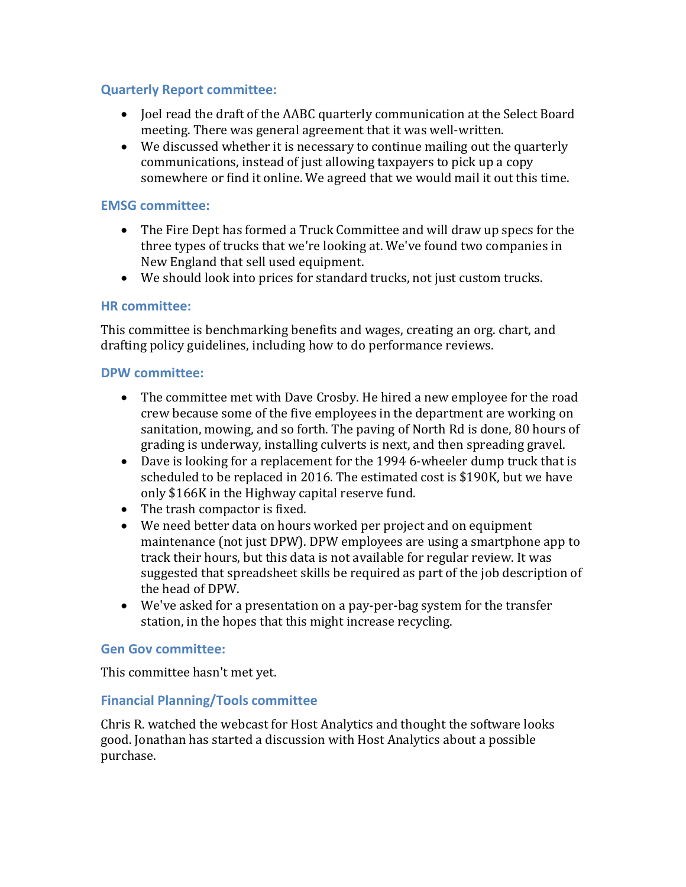# **Quarterly Report committee:**

- Joel read the draft of the AABC quarterly communication at the Select Board meeting. There was general agreement that it was well-written.
- We discussed whether it is necessary to continue mailing out the quarterly communications, instead of just allowing taxpayers to pick up a copy somewhere or find it online. We agreed that we would mail it out this time.

# **EMSG committee:**

- The Fire Dept has formed a Truck Committee and will draw up specs for the three types of trucks that we're looking at. We've found two companies in New England that sell used equipment.
- We should look into prices for standard trucks, not just custom trucks.

## **HR committee:**

This committee is benchmarking benefits and wages, creating an org. chart, and drafting policy guidelines, including how to do performance reviews.

### **DPW committee:**

- The committee met with Dave Crosby. He hired a new employee for the road crew because some of the five employees in the department are working on sanitation, mowing, and so forth. The paving of North Rd is done, 80 hours of grading is underway, installing culverts is next, and then spreading gravel.
- Dave is looking for a replacement for the 1994 6-wheeler dump truck that is scheduled to be replaced in 2016. The estimated cost is \$190K, but we have only \$166K in the Highway capital reserve fund.
- The trash compactor is fixed.
- We need better data on hours worked per project and on equipment maintenance (not just DPW). DPW employees are using a smartphone app to track their hours, but this data is not available for regular review. It was suggested that spreadsheet skills be required as part of the job description of the head of DPW.
- We've asked for a presentation on a pay-per-bag system for the transfer station, in the hopes that this might increase recycling.

#### **Gen Gov committee:**

This committee hasn't met yet.

## **Financial Planning/Tools committee**

Chris R. watched the webcast for Host Analytics and thought the software looks good. Jonathan has started a discussion with Host Analytics about a possible purchase.